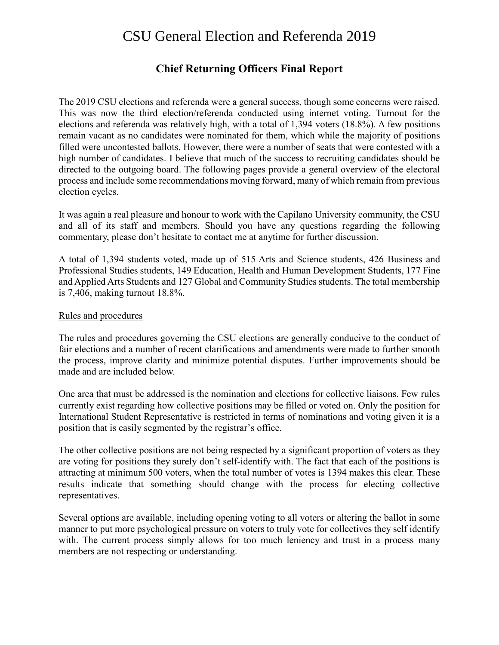# CSU General Election and Referenda 2019

## **Chief Returning Officers Final Report**

The 2019 CSU elections and referenda were a general success, though some concerns were raised. This was now the third election/referenda conducted using internet voting. Turnout for the elections and referenda was relatively high, with a total of 1,394 voters (18.8%). A few positions remain vacant as no candidates were nominated for them, which while the majority of positions filled were uncontested ballots. However, there were a number of seats that were contested with a high number of candidates. I believe that much of the success to recruiting candidates should be directed to the outgoing board. The following pages provide a general overview of the electoral process and include some recommendations moving forward, many of which remain from previous election cycles.

It was again a real pleasure and honour to work with the Capilano University community, the CSU and all of its staff and members. Should you have any questions regarding the following commentary, please don't hesitate to contact me at anytime for further discussion.

A total of 1,394 students voted, made up of 515 Arts and Science students, 426 Business and Professional Studies students, 149 Education, Health and Human Development Students, 177 Fine and Applied Arts Students and 127 Global and Community Studies students. The total membership is 7,406, making turnout 18.8%.

#### Rules and procedures

The rules and procedures governing the CSU elections are generally conducive to the conduct of fair elections and a number of recent clarifications and amendments were made to further smooth the process, improve clarity and minimize potential disputes. Further improvements should be made and are included below.

One area that must be addressed is the nomination and elections for collective liaisons. Few rules currently exist regarding how collective positions may be filled or voted on. Only the position for International Student Representative is restricted in terms of nominations and voting given it is a position that is easily segmented by the registrar's office.

The other collective positions are not being respected by a significant proportion of voters as they are voting for positions they surely don't self-identify with. The fact that each of the positions is attracting at minimum 500 voters, when the total number of votes is 1394 makes this clear. These results indicate that something should change with the process for electing collective representatives.

Several options are available, including opening voting to all voters or altering the ballot in some manner to put more psychological pressure on voters to truly vote for collectives they self identify with. The current process simply allows for too much leniency and trust in a process many members are not respecting or understanding.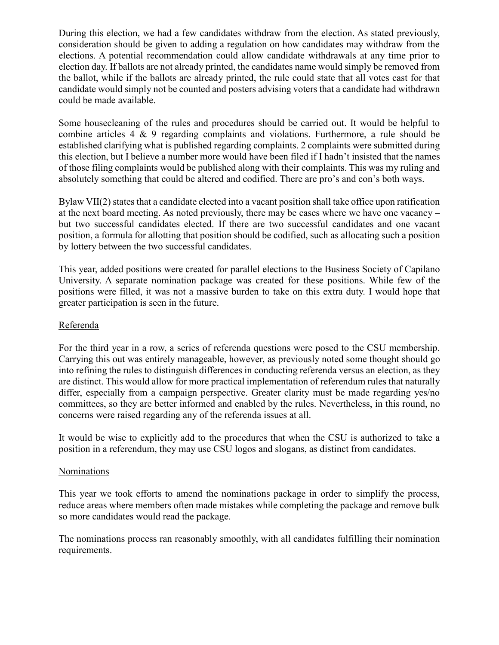During this election, we had a few candidates withdraw from the election. As stated previously, consideration should be given to adding a regulation on how candidates may withdraw from the elections. A potential recommendation could allow candidate withdrawals at any time prior to election day. If ballots are not already printed, the candidates name would simply be removed from the ballot, while if the ballots are already printed, the rule could state that all votes cast for that candidate would simply not be counted and posters advising voters that a candidate had withdrawn could be made available.

Some housecleaning of the rules and procedures should be carried out. It would be helpful to combine articles 4 & 9 regarding complaints and violations. Furthermore, a rule should be established clarifying what is published regarding complaints. 2 complaints were submitted during this election, but I believe a number more would have been filed if I hadn't insisted that the names of those filing complaints would be published along with their complaints. This was my ruling and absolutely something that could be altered and codified. There are pro's and con's both ways.

Bylaw VII(2) states that a candidate elected into a vacant position shall take office upon ratification at the next board meeting. As noted previously, there may be cases where we have one vacancy – but two successful candidates elected. If there are two successful candidates and one vacant position, a formula for allotting that position should be codified, such as allocating such a position by lottery between the two successful candidates.

This year, added positions were created for parallel elections to the Business Society of Capilano University. A separate nomination package was created for these positions. While few of the positions were filled, it was not a massive burden to take on this extra duty. I would hope that greater participation is seen in the future.

#### Referenda

For the third year in a row, a series of referenda questions were posed to the CSU membership. Carrying this out was entirely manageable, however, as previously noted some thought should go into refining the rules to distinguish differences in conducting referenda versus an election, as they are distinct. This would allow for more practical implementation of referendum rules that naturally differ, especially from a campaign perspective. Greater clarity must be made regarding yes/no committees, so they are better informed and enabled by the rules. Nevertheless, in this round, no concerns were raised regarding any of the referenda issues at all.

It would be wise to explicitly add to the procedures that when the CSU is authorized to take a position in a referendum, they may use CSU logos and slogans, as distinct from candidates.

#### Nominations

This year we took efforts to amend the nominations package in order to simplify the process, reduce areas where members often made mistakes while completing the package and remove bulk so more candidates would read the package.

The nominations process ran reasonably smoothly, with all candidates fulfilling their nomination requirements.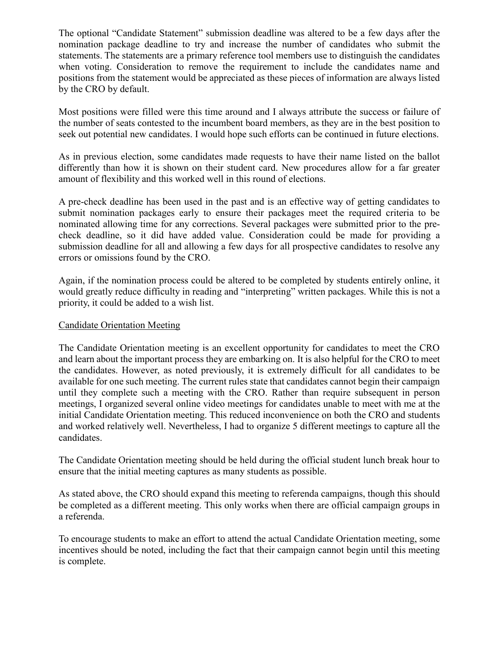The optional "Candidate Statement" submission deadline was altered to be a few days after the nomination package deadline to try and increase the number of candidates who submit the statements. The statements are a primary reference tool members use to distinguish the candidates when voting. Consideration to remove the requirement to include the candidates name and positions from the statement would be appreciated as these pieces of information are always listed by the CRO by default.

Most positions were filled were this time around and I always attribute the success or failure of the number of seats contested to the incumbent board members, as they are in the best position to seek out potential new candidates. I would hope such efforts can be continued in future elections.

As in previous election, some candidates made requests to have their name listed on the ballot differently than how it is shown on their student card. New procedures allow for a far greater amount of flexibility and this worked well in this round of elections.

A pre-check deadline has been used in the past and is an effective way of getting candidates to submit nomination packages early to ensure their packages meet the required criteria to be nominated allowing time for any corrections. Several packages were submitted prior to the precheck deadline, so it did have added value. Consideration could be made for providing a submission deadline for all and allowing a few days for all prospective candidates to resolve any errors or omissions found by the CRO.

Again, if the nomination process could be altered to be completed by students entirely online, it would greatly reduce difficulty in reading and "interpreting" written packages. While this is not a priority, it could be added to a wish list.

#### Candidate Orientation Meeting

The Candidate Orientation meeting is an excellent opportunity for candidates to meet the CRO and learn about the important process they are embarking on. It is also helpful for the CRO to meet the candidates. However, as noted previously, it is extremely difficult for all candidates to be available for one such meeting. The current rules state that candidates cannot begin their campaign until they complete such a meeting with the CRO. Rather than require subsequent in person meetings, I organized several online video meetings for candidates unable to meet with me at the initial Candidate Orientation meeting. This reduced inconvenience on both the CRO and students and worked relatively well. Nevertheless, I had to organize 5 different meetings to capture all the candidates.

The Candidate Orientation meeting should be held during the official student lunch break hour to ensure that the initial meeting captures as many students as possible.

As stated above, the CRO should expand this meeting to referenda campaigns, though this should be completed as a different meeting. This only works when there are official campaign groups in a referenda.

To encourage students to make an effort to attend the actual Candidate Orientation meeting, some incentives should be noted, including the fact that their campaign cannot begin until this meeting is complete.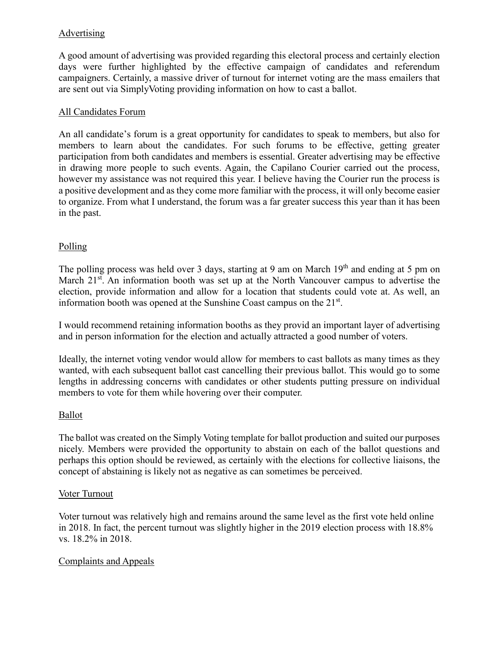## Advertising

A good amount of advertising was provided regarding this electoral process and certainly election days were further highlighted by the effective campaign of candidates and referendum campaigners. Certainly, a massive driver of turnout for internet voting are the mass emailers that are sent out via SimplyVoting providing information on how to cast a ballot.

## All Candidates Forum

An all candidate's forum is a great opportunity for candidates to speak to members, but also for members to learn about the candidates. For such forums to be effective, getting greater participation from both candidates and members is essential. Greater advertising may be effective in drawing more people to such events. Again, the Capilano Courier carried out the process, however my assistance was not required this year. I believe having the Courier run the process is a positive development and as they come more familiar with the process, it will only become easier to organize. From what I understand, the forum was a far greater success this year than it has been in the past.

## Polling

The polling process was held over 3 days, starting at 9 am on March  $19<sup>th</sup>$  and ending at 5 pm on March 21<sup>st</sup>. An information booth was set up at the North Vancouver campus to advertise the election, provide information and allow for a location that students could vote at. As well, an information booth was opened at the Sunshine Coast campus on the  $21<sup>st</sup>$ .

I would recommend retaining information booths as they provid an important layer of advertising and in person information for the election and actually attracted a good number of voters.

Ideally, the internet voting vendor would allow for members to cast ballots as many times as they wanted, with each subsequent ballot cast cancelling their previous ballot. This would go to some lengths in addressing concerns with candidates or other students putting pressure on individual members to vote for them while hovering over their computer.

## **Ballot**

The ballot was created on the Simply Voting template for ballot production and suited our purposes nicely. Members were provided the opportunity to abstain on each of the ballot questions and perhaps this option should be reviewed, as certainly with the elections for collective liaisons, the concept of abstaining is likely not as negative as can sometimes be perceived.

## Voter Turnout

Voter turnout was relatively high and remains around the same level as the first vote held online in 2018. In fact, the percent turnout was slightly higher in the 2019 election process with 18.8% vs. 18.2% in 2018.

## Complaints and Appeals